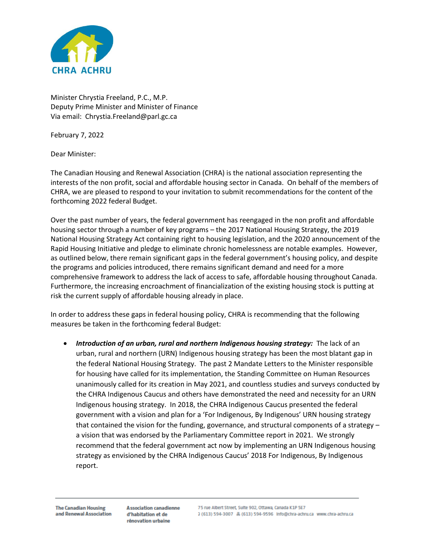

Minister Chrystia Freeland, P.C., M.P. Deputy Prime Minister and Minister of Finance Via email: Chrystia.Freeland@parl.gc.ca

February 7, 2022

Dear Minister:

The Canadian Housing and Renewal Association (CHRA) is the national association representing the interests of the non profit, social and affordable housing sector in Canada. On behalf of the members of CHRA, we are pleased to respond to your invitation to submit recommendations for the content of the forthcoming 2022 federal Budget.

Over the past number of years, the federal government has reengaged in the non profit and affordable housing sector through a number of key programs – the 2017 National Housing Strategy, the 2019 National Housing Strategy Act containing right to housing legislation, and the 2020 announcement of the Rapid Housing Initiative and pledge to eliminate chronic homelessness are notable examples. However, as outlined below, there remain significant gaps in the federal government's housing policy, and despite the programs and policies introduced, there remains significant demand and need for a more comprehensive framework to address the lack of access to safe, affordable housing throughout Canada. Furthermore, the increasing encroachment of financialization of the existing housing stock is putting at risk the current supply of affordable housing already in place.

In order to address these gaps in federal housing policy, CHRA is recommending that the following measures be taken in the forthcoming federal Budget:

• *Introduction of an urban, rural and northern Indigenous housing strategy:* The lack of an urban, rural and northern (URN) Indigenous housing strategy has been the most blatant gap in the federal National Housing Strategy. The past 2 Mandate Letters to the Minister responsible for housing have called for its implementation, the Standing Committee on Human Resources unanimously called for its creation in May 2021, and countless studies and surveys conducted by the CHRA Indigenous Caucus and others have demonstrated the need and necessity for an URN Indigenous housing strategy. In 2018, the CHRA Indigenous Caucus presented the federal government with a vision and plan for a 'For Indigenous, By Indigenous' URN housing strategy that contained the vision for the funding, governance, and structural components of a strategy – a vision that was endorsed by the Parliamentary Committee report in 2021. We strongly recommend that the federal government act now by implementing an URN Indigenous housing strategy as envisioned by the CHRA Indigenous Caucus' 2018 For Indigenous, By Indigenous report.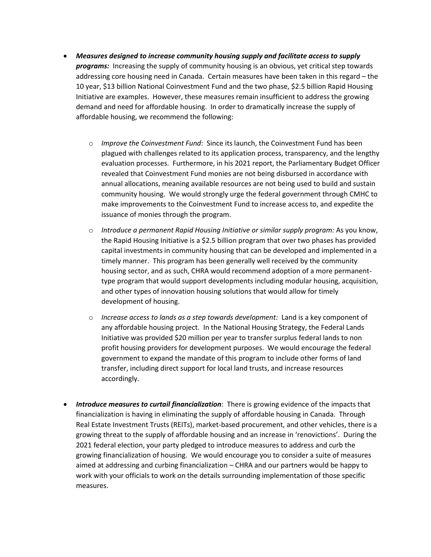- *Measures designed to increase community housing supply and facilitate access to supply programs:* Increasing the supply of community housing is an obvious, yet critical step towards addressing core housing need in Canada. Certain measures have been taken in this regard – the 10 year, \$13 billion National Coinvestment Fund and the two phase, \$2.5 billion Rapid Housing Initiative are examples. However, these measures remain insufficient to address the growing demand and need for affordable housing. In order to dramatically increase the supply of affordable housing, we recommend the following:
	- o *Improve the Coinvestment Fund*: Since its launch, the Coinvestment Fund has been plagued with challenges related to its application process, transparency, and the lengthy evaluation processes. Furthermore, in his 2021 report, the Parliamentary Budget Officer revealed that Coinvestment Fund monies are not being disbursed in accordance with annual allocations, meaning available resources are not being used to build and sustain community housing. We would strongly urge the federal government through CMHC to make improvements to the Coinvestment Fund to increase access to, and expedite the issuance of monies through the program.
	- o *Introduce a permanent Rapid Housing Initiative or similar supply program:* As you know, the Rapid Housing Initiative is a \$2.5 billion program that over two phases has provided capital investments in community housing that can be developed and implemented in a timely manner. This program has been generally well received by the community housing sector, and as such, CHRA would recommend adoption of a more permanenttype program that would support developments including modular housing, acquisition, and other types of innovation housing solutions that would allow for timely development of housing.
	- o *Increase access to lands as a step towards development:* Land is a key component of any affordable housing project. In the National Housing Strategy, the Federal Lands Initiative was provided \$20 million per year to transfer surplus federal lands to non profit housing providers for development purposes. We would encourage the federal government to expand the mandate of this program to include other forms of land transfer, including direct support for local land trusts, and increase resources accordingly.
- *Introduce measures to curtail financialization*: There is growing evidence of the impacts that financialization is having in eliminating the supply of affordable housing in Canada. Through Real Estate Investment Trusts (REITs), market-based procurement, and other vehicles, there is a growing threat to the supply of affordable housing and an increase in 'renovictions'. During the 2021 federal election, your party pledged to introduce measures to address and curb the growing financialization of housing. We would encourage you to consider a suite of measures aimed at addressing and curbing financialization – CHRA and our partners would be happy to work with your officials to work on the details surrounding implementation of those specific measures.